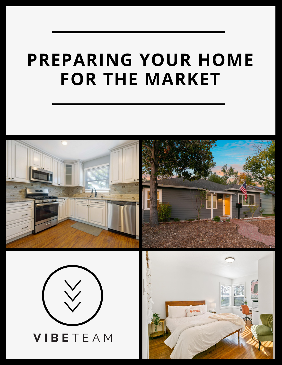### **PREPARING YOUR HOME FOR THE MARKET**

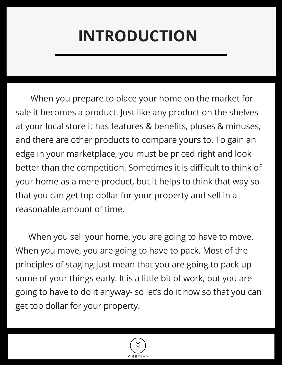## **INTRODUCTION**

When you prepare to place your home on the market for sale it becomes a product. Just like any product on the shelves at your local store it has features & benefits, pluses & minuses, and there are other products to compare yours to. To gain an edge in your marketplace, you must be priced right and look better than the competition. Sometimes it is difficult to think of your home as a mere product, but it helps to think that way so that you can get top dollar for your property and sell in a reasonable amount of time.

When you sell your home, you are going to have to move. When you move, you are going to have to pack. Most of the principles of staging just mean that you are going to pack up some of your things early. It is a little bit of work, but you are going to have to do it anyway- so let's do it now so that you can get top dollar for your property.

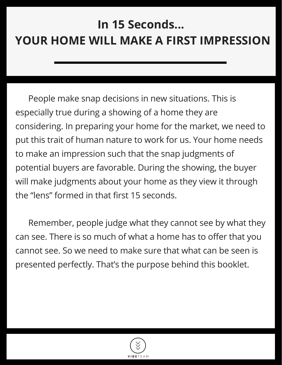#### **In 15 Seconds... YOUR HOME WILL MAKE A FIRST IMPRESSION**

People make snap decisions in new situations. This is especially true during a showing of a home they are considering. In preparing your home for the market, we need to put this trait of human nature to work for us. Your home needs to make an impression such that the snap judgments of potential buyers are favorable. During the showing, the buyer will make judgments about your home as they view it through the "lens" formed in that first 15 seconds.

Remember, people judge what they cannot see by what they can see. There is so much of what a home has to offer that you cannot see. So we need to make sure that what can be seen is presented perfectly. That's the purpose behind this booklet.

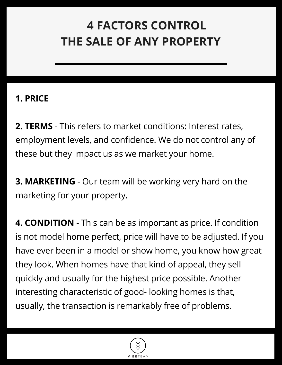#### **4 FACTORS CONTROL THE SALE OF ANY PROPERTY**

#### **1. PRICE**

**2. TERMS** - This refers to market conditions: Interest rates, employment levels, and confidence. We do not control any of these but they impact us as we market your home.

**3. MARKETING** - Our team will be working very hard on the marketing for your property.

**4. CONDITION** - This can be as important as price. If condition is not model home perfect, price will have to be adjusted. If you have ever been in a model or show home, you know how great they look. When homes have that kind of appeal, they sell quickly and usually for the highest price possible. Another interesting characteristic of good- looking homes is that, usually, the transaction is remarkably free of problems.

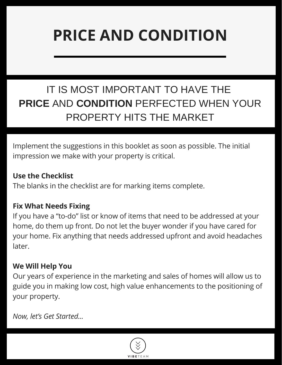### **PRICE AND CONDITION**

#### IT IS MOST IMPORTANT TO HAVE THE **PRICE** AND **CONDITION** PERFECTED WHEN YOUR PROPERTY HITS THE MARKET

Implement the suggestions in this booklet as soon as possible. The initial impression we make with your property is critical.

#### **Use the Checklist**

The blanks in the checklist are for marking items complete.

#### **Fix What Needs Fixing**

If you have a "to-do" list or know of items that need to be addressed at your home, do them up front. Do not let the buyer wonder if you have cared for your home. Fix anything that needs addressed upfront and avoid headaches later.

#### **We Will Help You**

Our years of experience in the marketing and sales of homes will allow us to guide you in making low cost, high value enhancements to the positioning of your property.

*Now, let's Get Started...*

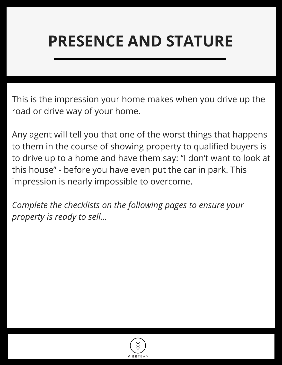### **PRESENCE AND STATURE**

This is the impression your home makes when you drive up the road or drive way of your home.

Any agent will tell you that one of the worst things that happens to them in the course of showing property to qualified buyers is to drive up to a home and have them say: "I don't want to look at this house" - before you have even put the car in park. This impression is nearly impossible to overcome.

*Complete the checklists on the following pages to ensure your property is ready to sell...*

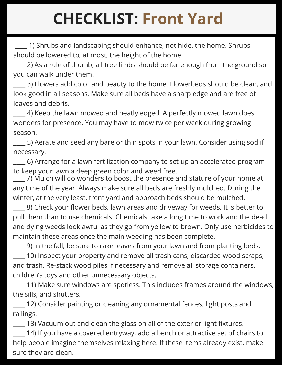## **CHECKLIST: Front Yard**

\_\_\_\_ 1) Shrubs and landscaping should enhance, not hide, the home. Shrubs should be lowered to, at most, the height of the home.

\_\_\_\_ 2) As a rule of thumb, all tree limbs should be far enough from the ground so you can walk under them.

3) Flowers add color and beauty to the home. Flowerbeds should be clean, and look good in all seasons. Make sure all beds have a sharp edge and are free of leaves and debris.

4) Keep the lawn mowed and neatly edged. A perfectly mowed lawn does wonders for presence. You may have to mow twice per week during growing season.

\_\_\_\_ 5) Aerate and seed any bare or thin spots in your lawn. Consider using sod if necessary.

 $\_$  6) Arrange for a lawn fertilization company to set up an accelerated program to keep your lawn a deep green color and weed free.

\_\_\_\_ 7) Mulch will do wonders to boost the presence and stature of your home at any time of the year. Always make sure all beds are freshly mulched. During the winter, at the very least, front yard and approach beds should be mulched.

\_\_\_\_ 8) Check your flower beds, lawn areas and driveway for weeds. It is better to pull them than to use chemicals. Chemicals take a long time to work and the dead and dying weeds look awful as they go from yellow to brown. Only use herbicides to maintain these areas once the main weeding has been complete.

\_\_\_\_ 9) In the fall, be sure to rake leaves from your lawn and from planting beds. \_\_\_\_ 10) Inspect your property and remove all trash cans, discarded wood scraps, and trash. Re-stack wood piles if necessary and remove all storage containers, children's toys and other unnecessary objects.

\_\_\_\_ 11) Make sure windows are spotless. This includes frames around the windows, the sills, and shutters.

12) Consider painting or cleaning any ornamental fences, light posts and railings.

\_\_\_\_ 13) Vacuum out and clean the glass on all of the exterior light fixtures.

\_\_\_\_ 14) If you have a covered entryway, add a bench or attractive set of chairs to help people imagine themselves relaxing here. If these items already exist, make sure they are clean.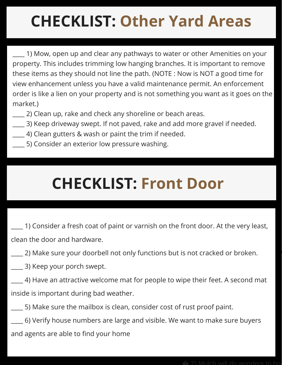# **CHECKLIST: Other Yard Areas**

\_\_\_\_ 1) Mow, open up and clear any pathways to water or other Amenities on your property. This includes trimming low hanging branches. It is important to remove these items as they should not line the path. (NOTE : Now is NOT a good time for view enhancement unless you have a valid maintenance permit. An enforcement order is like a lien on your property and is not something you want as it goes on the market.)

- \_\_\_\_ 2) Clean up, rake and check any shoreline or beach areas.
- \_\_\_\_ 3) Keep driveway swept. If not paved, rake and add more gravel if needed.
- \_\_\_\_ 4) Clean gutters & wash or paint the trim if needed.
- \_\_\_\_ 5) Consider an exterior low pressure washing.

### **CHECKLIST: Front Door**

\_\_\_\_ 1) Consider a fresh coat of paint or varnish on the front door. At the very least, clean the door and hardware.

\_\_\_\_ 2) Make sure your doorbell not only functions but is not cracked or broken.

\_\_\_\_ 3) Keep your porch swept.

\_\_\_\_ 4) Have an attractive welcome mat for people to wipe their feet. A second mat inside is important during bad weather.

\_\_\_\_ 5) Make sure the mailbox is clean, consider cost of rust proof paint.

\_\_\_\_ 6) Verify house numbers are large and visible. We want to make sure buyers and agents are able to find your home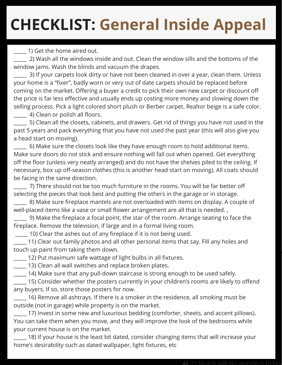## **CHECKLIST: General Inside Appeal**

\_\_\_\_\_ 1) Get the home aired out.

\_\_\_\_\_ 2) Wash all the windows inside and out. Clean the window sills and the bottoms of the window jams. Wash the blinds and vacuum the drapes.

3) If your carpets look dirty or have not been cleaned in over a year, clean them. Unless your home is a "fixer", badly worn or very out of date carpets should be replaced before coming on the market. Offering a buyer a credit to pick their own new carpet or discount off the price is far less effective and usually ends up costing more money and slowing down the selling process. Pick a light colored short plush or Berber carpet. Realtor beige is a safe color.

\_\_\_\_\_ 4) Clean or polish all floors.

\_\_\_\_\_ 5) Clean all the closets, cabinets, and drawers. Get rid of things you have not used in the past 5 years and pack everything that you have not used the past year (this will also give you a head start on moving).

\_\_\_\_\_ 6) Make sure the closets look like they have enough room to hold additional items. Make sure doors do not stick and ensure nothing will fall out when opened. Get everything off the floor (unless very neatly arranged) and do not have the shelves piled to the ceiling. If necessary, box up off-season clothes (this is another head start on moving). All coats should be facing in the same direction.

\_\_\_\_\_ 7) There should not be too much furniture in the rooms. You will be far better off selecting the pieces that look best and putting the others in the garage or in storage.

\_\_\_\_\_ 8) Make sure fireplace mantels are not overloaded with items on display. A couple of well-placed items like a vase or small flower arrangement are all that is needed. ,

\_\_\_\_\_ 9) Make the fireplace a focal point, the star of the room. Arrange seating to face the fireplace. Remove the television, if large and in a formal living room.

\_\_\_\_\_ 10) Clear the ashes out of any fireplace if it is not being used.

\_\_\_\_\_ 11) Clear out family photos and all other personal items that say. Fill any holes and touch up paint from taking them down.

12) Put maximum safe wattage of light bulbs in all fixtures.

13) Clean all wall switches and replace broken plates.

\_\_\_\_\_ 14) Make sure that any pull-down staircase is strong enough to be used safely.

\_\_\_\_\_ 15) Consider whether the posters currently in your children's rooms are likely to offend any buyers. If so, store those posters for now.

\_\_\_\_\_ 16) Remove all ashtrays. If there is a smoker in the residence, all smoking must be outside (not in garage) while property is on the market.

\_\_\_\_\_ 17) Invest in some new and luxurious bedding (comforter, sheets, and accent pillows). You can take them when you move, and they will improve the look of the bedrooms while your current house is on the market.

18) If your house is the least bit dated, consider changing items that will increase your home's desirability such as dated wallpaper, light fixtures, etc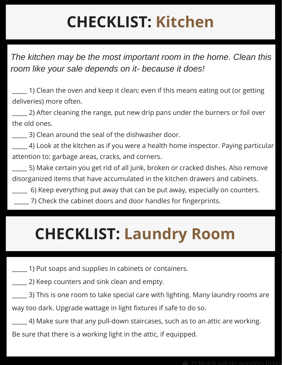# **CHECKLIST: Kitchen**

*The kitchen may be the most important room in the home. Clean this room like your sale depends on it- because it does!*

\_\_\_\_\_ 1) Clean the oven and keep it clean; even if this means eating out (or getting deliveries) more often.

\_\_\_\_\_ 2) After cleaning the range, put new drip pans under the burners or foil over the old ones.

\_\_\_\_\_ 3) Clean around the seal of the dishwasher door.

\_\_\_\_\_ 4) Look at the kitchen as if you were a health home inspector. Paying particular attention to: garbage areas, cracks, and corners.

\_\_\_\_\_ 5) Make certain you get rid of all junk, broken or cracked dishes. Also remove disorganized items that have accumulated in the kitchen drawers and cabinets.

- \_\_\_\_\_ 6) Keep everything put away that can be put away, especially on counters.
	- \_\_\_\_\_ 7) Check the cabinet doors and door handles for fingerprints.

#### **CHECKLIST: Laundry Room**

- \_\_\_\_\_ 1) Put soaps and supplies in cabinets or containers.
- \_\_\_\_\_ 2) Keep counters and sink clean and empty.

\_\_\_\_\_ 3) This is one room to take special care with lighting. Many laundry rooms are way too dark. Upgrade wattage in light fixtures if safe to do so.

\_\_\_\_\_ 4) Make sure that any pull-down staircases, such as to an attic are working.

Be sure that there is a working light in the attic, if equipped.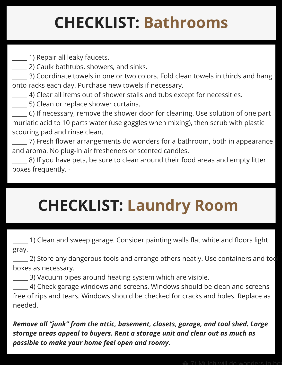## **CHECKLIST: Bathrooms**

\_\_\_\_\_ 1) Repair all leaky faucets.

\_\_\_\_\_ 2) Caulk bathtubs, showers, and sinks.

3) Coordinate towels in one or two colors. Fold clean towels in thirds and hang onto racks each day. Purchase new towels if necessary.

\_\_\_\_\_ 4) Clear all items out of shower stalls and tubs except for necessities.

\_\_\_\_\_ 5) Clean or replace shower curtains.

\_\_\_\_\_ 6) If necessary, remove the shower door for cleaning. Use solution of one part muriatic acid to 10 parts water (use goggles when mixing), then scrub with plastic scouring pad and rinse clean.

\_\_\_\_\_ 7) Fresh flower arrangements do wonders for a bathroom, both in appearance and aroma. No plug-in air fresheners or scented candles.

 $\equiv$  8) If you have pets, be sure to clean around their food areas and empty litter boxes frequently. ·

# **CHECKLIST: Laundry Room**

\_\_\_\_\_ 1) Clean and sweep garage. Consider painting walls flat white and floors light gray.

 $\_\_$ 2) Store any dangerous tools and arrange others neatly. Use containers and too boxes as necessary.

\_\_\_\_\_ 3) Vacuum pipes around heating system which are visible.

 $-$  4) Check garage windows and screens. Windows should be clean and screens free of rips and tears. Windows should be checked for cracks and holes. Replace as needed.

*Remove all "junk" from the attic, basement, closets, garage, and tool shed. Large storage areas appeal to buyers. Rent a storage unit and clear out as much as possible to make your home feel open and roomy***.**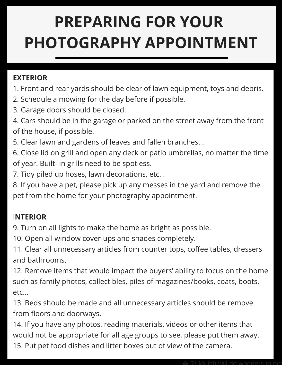#### **PREPARING FOR YOUR PHOTOGRAPHY APPOINTMENT**

#### **EXTERIOR**

- 1. Front and rear yards should be clear of lawn equipment, toys and debris.
- 2. Schedule a mowing for the day before if possible.
- 3. Garage doors should be closed.
- 4. Cars should be in the garage or parked on the street away from the front of the house, if possible.
- 5. Clear lawn and gardens of leaves and fallen branches. .
- 6. Close lid on grill and open any deck or patio umbrellas, no matter the time of year. Built- in grills need to be spotless.
- 7. Tidy piled up hoses, lawn decorations, etc. .
- 8. If you have a pet, please pick up any messes in the yard and remove the pet from the home for your photography appointment.

#### I**NTERIOR**

9. Turn on all lights to make the home as bright as possible.

10. Open all window cover-ups and shades completely.

11. Clear all unnecessary articles from counter tops, coffee tables, dressers and bathrooms.

12. Remove items that would impact the buyers' ability to focus on the home such as family photos, collectibles, piles of magazines/books, coats, boots, etc...

13. Beds should be made and all unnecessary articles should be remove from floors and doorways.

14. If you have any photos, reading materials, videos or other items that would not be appropriate for all age groups to see, please put them away. 15. Put pet food dishes and litter boxes out of view of the camera.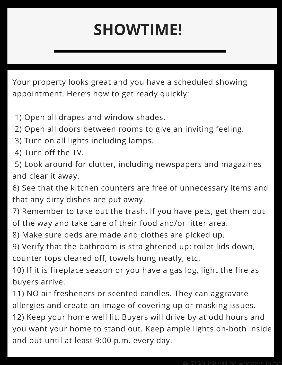### **SHOWTIME!**

Your property looks great and you have a scheduled showing appointment. Here's how to get ready quickly:

1) Open all drapes and window shades.

and out-until at least 9:00 p.m. every day.

- 2) Open all doors between rooms to give an inviting feeling.
- 3) Turn on all lights including lamps.
- 4) Turn off the TV.

5) Look around for clutter, including newspapers and magazines and clear it away.

6) See that the kitchen counters are free of unnecessary items and that any dirty dishes are put away.

7) Remember to take out the trash. If you have pets, get them out of the way and take care of their food and/or litter area.

8) Make sure beds are made and clothes are picked up.

9) Verify that the bathroom is straightened up: toilet lids down, counter tops cleared off, towels hung neatly, etc.

10) If it is fireplace season or you have a gas log, light the fire as buyers arrive.

11) NO air fresheners or scented candles. They can aggravate allergies and create an image of covering up or masking issues. 12) Keep your home well lit. Buyers will drive by at odd hours and you want your home to stand out. Keep ample lights on-both inside